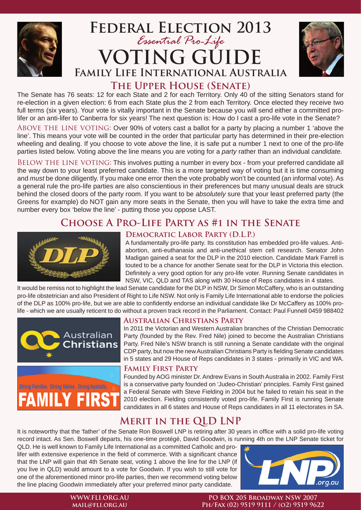

# **Federal Election 2013** *Essential Pro-Life* **VOTING GUIDE Family Life International Australia**



**The Upper House (Senate)**

The Senate has 76 seats: 12 for each State and 2 for each Territory. Only 40 of the sitting Senators stand for re-election in a given election: 6 from each State plus the 2 from each Territory. Once elected they receive two full terms (six years). Your vote is vitally important in the Senate because you will send either a committed prolifer or an anti-lifer to Canberra for six years! The next question is: How do I cast a pro-life vote in the Senate?

ABOVE THE LINE VOTING: Over 90% of voters cast a ballot for a party by placing a number 1 'above the line'. This means your vote will be counted in the order that particular party has determined in their pre-election wheeling and dealing. If you choose to vote *above* the line, it is safe put a number 1 next to one of the pro-life parties listed below. Voting above the line means you are voting for a *party* rather than an individual *candidate.*

BELOW THE LINE VOTING: This involves putting a number in every box - from your preferred candidate all the way down to your least preferred candidate. This is a more targeted way of voting but it is time consuming and *must* be done diligently. If you make one error then the vote probably won't be counted (an informal vote). As a general rule the pro-life parties are also conscientious in their preferences but many unusual deals are struck behind the closed doors of the party room. If you want to be *absolutely* sure that your least preferred party (the Greens for example) do NOT gain any more seats in the Senate, then you will have to take the extra time and number every box 'below the line' - putting those you oppose LAST.

# **Choose A Pro-Life Party as #1 in the Senate**



## **Democratic Labor Party (D.L.P.)**

A fundamentally pro-life party. Its constitution has embedded pro-life values. Antiabortion, anti-euthanasia and anti-unethical stem cell research. Senator John Madigan gained a seat for the DLP in the 2010 election. Candidate Mark Farrell is touted to be a chance for another Senate seat for the DLP in Victoria this election. Definitely a very good option for any pro-life voter. Running Senate candidates in NSW, VIC, QLD and TAS along with 30 House of Reps candidates in 4 states.

It would be remiss not to highlight the lead Senate candidate for the DLP in NSW, Dr Simon McCaffery, who is an outstanding pro-life obstetrician and also President of Right to Life NSW. Not only is Family Life International able to endorse the policies of the DLP as 100% pro-life, but we are able to confidently endorse an individual candidate like Dr McCaffery as 100% prolife - which we are usually reticent to do without a proven track record in the Parliament. Contact: Paul Funnell 0459 988402





### **Australian Christians Party**

In 2011 the Victorian and Western Australian branches of the Christian Democratic Party (founded by the Rev. Fred Nile) joined to become the Australian Christians Party. Fred Nile's NSW branch is still running a Senate candidate with the original CDP party, but now the new Australian Christians Party is fielding Senate candidates in 5 states and 29 House of Reps candidates in 3 states - primarily in VIC and WA.

### **Family First Party**

Founded by AOG minister Dr. Andrew Evans in South Australia in 2002. Family First is a conservative party founded on 'Judeo-Christian' principles. Family First gained a Federal Senate with Steve Fielding in 2004 but he failed to retain his seat in the 2010 election. Fielding consistently voted pro-life. Family First is running Senate candidates in all 6 states and House of Reps candidates in all 11 electorates in SA.

## **Merit in the QLD LNP**

It is noteworthy that the 'father' of the Senate Ron Boswell LNP is retiring after 30 years in office with a solid pro-life voting record intact. As Sen. Boswell departs, his one-time protégé, David Goodwin, is running 4th on the LNP Senate ticket for

QLD. He is well known to Family Life International as a committed Catholic and prolifer with extensive experience in the field of commerce. With a significant chance that the LNP will gain that 4th Senate seat, voting 1 above the line for the LNP (if you live in QLD) would amount to a vote for Goodwin. If you wish to still vote for one of the aforementioned minor pro-life parties, then we recommend voting below the line placing Goodwin immediately after your preferred minor party candidate.



#### **WWW.FLI.ORG.AU mail@fli.org.au**

#### **PO BOX 205 Broadway NSW 2007 Ph/Fax (02) 9519 9111 / (o2) 9519 9622**